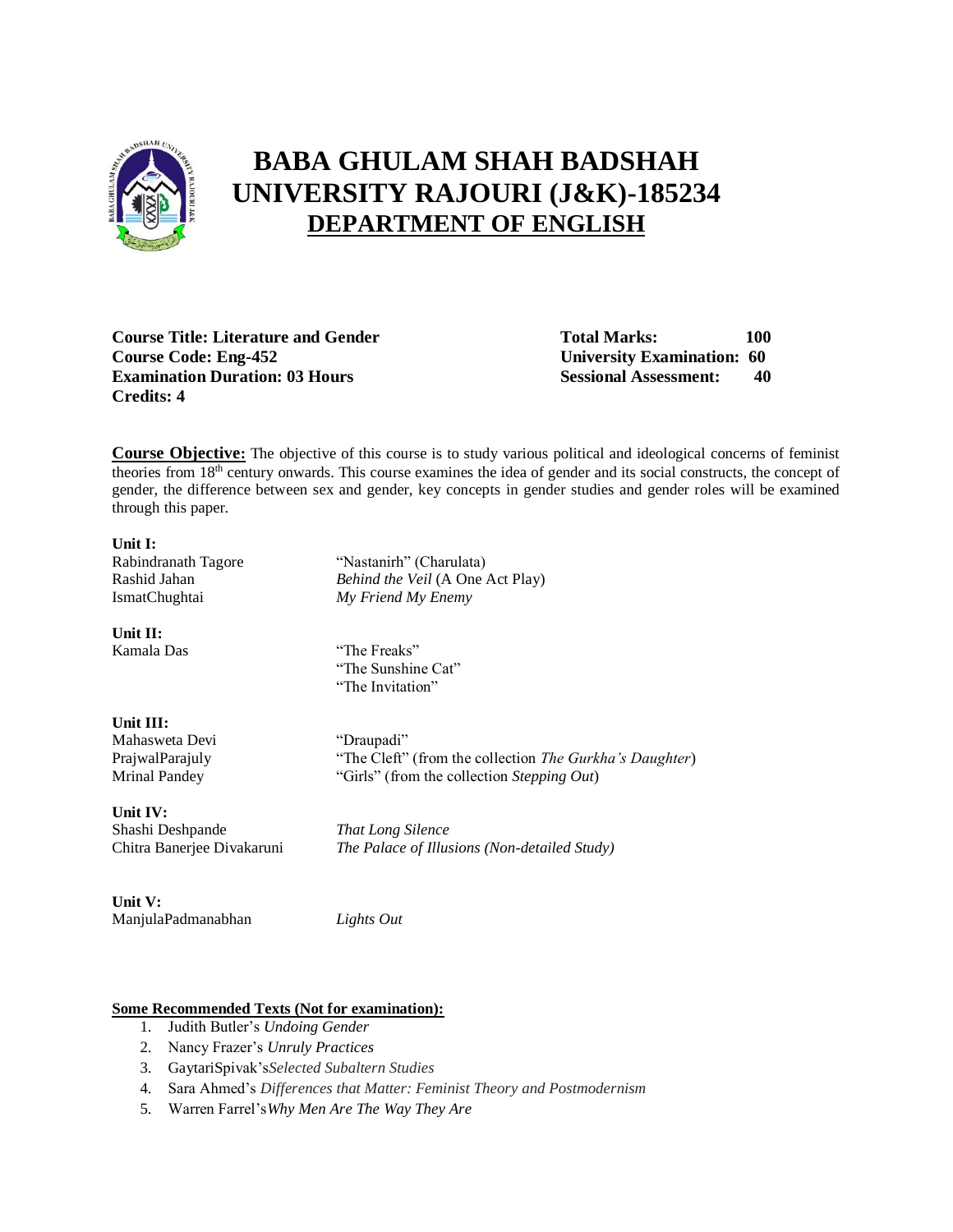

## **BABA GHULAM SHAH BADSHAH UNIVERSITY RAJOURI (J&K)-185234 DEPARTMENT OF ENGLISH**

**Course Title: Literature and Gender Total Marks:** 100 **Course Code: Eng-452 University Examination: 60 Examination Duration: 03 Hours Sessional Assessment: 40 Credits: 4**

**Course Objective:** The objective of this course is to study various political and ideological concerns of feminist theories from 18th century onwards. This course examines the idea of gender and its social constructs, the concept of gender, the difference between sex and gender, key concepts in gender studies and gender roles will be examined through this paper.

# **Unit I:**

**Unit II:**

Rabindranath Tagore "Nastanirh" (Charulata) Rashid Jahan *Behind the Veil* (A One Act Play) IsmatChughtai *My Friend My Enemy*

Kamala Das "The Freaks" "The Sunshine Cat" "The Invitation"

| Unit III:            |
|----------------------|
| Mahasweta Devi       |
| PrajwalParajuly      |
| <b>Mrinal Pandey</b> |

"Draupadi" "The Cleft" (from the collection *The Gurkha's Daughter*) "Girls" (from the collection *Stepping Out*)

**Unit IV:** Shashi Deshpande *That Long Silence*

Chitra Banerjee Divakaruni *The Palace of Illusions (Non-detailed Study)*

**Unit V:** ManjulaPadmanabhan *Lights Out*

### **Some Recommended Texts (Not for examination):**

- 1. Judith Butler's *Undoing Gender*
- 2. Nancy Frazer's *Unruly Practices*
- 3. GaytariSpivak's*Selected Subaltern Studies*
- 4. Sara Ahmed's *Differences that Matter: Feminist Theory and Postmodernism*
- 5. Warren Farrel's*Why Men Are The Way They Are*